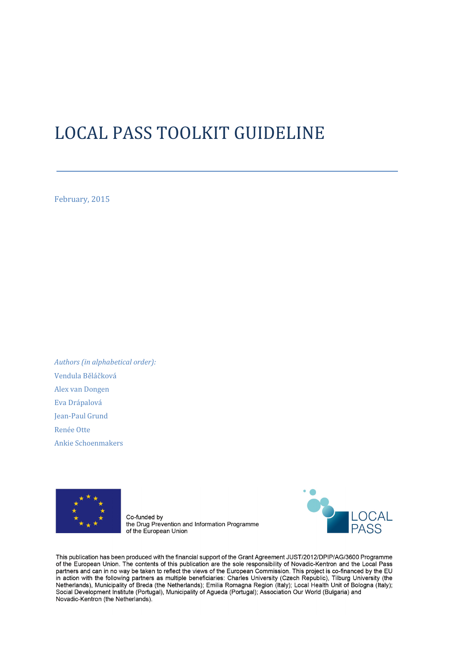# LOCAL PASS TOOLKIT GUIDELINE

February, 2015

Authors (in alphabetical order): Vendula Běláčková Alex van Dongen Eva Drápalová Jean-Paul Grund Renée Otte Ankie Schoenmakers



Co-funded by the Drug Prevention and Information Programme of the European Union



This publication has been produced with the financial support of the Grant Agreement JUST/2012/DPIP/AG/3600 Programme of the European Union. The contents of this publication are the sole responsibility of Novadic-Kentron and the Local Pass partners and can in no way be taken to reflect the views of the European Commission. This project is co-financed by the EU in action with the following partners as multiple beneficiaries: Charles University (Czech Republic), Tilburg University (the Netherlands), Municipality of Breda (the Netherlands); Emilia Romagna Region (Italy); Local Health Unit of Bologna (Italy); Social Development Institute (Portugal), Municipality of Agueda (Portugal); Association Our World (Bulgaria) and Novadic-Kentron (the Netherlands).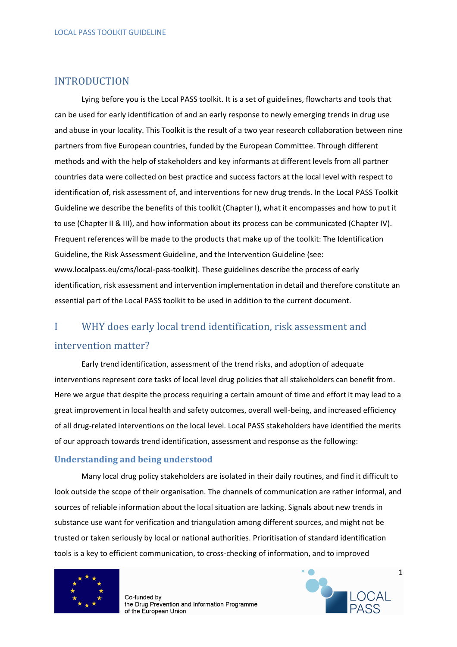# INTRODUCTION

Lying before you is the Local PASS toolkit. It is a set of guidelines, flowcharts and tools that can be used for early identification of and an early response to newly emerging trends in drug use and abuse in your locality. This Toolkit is the result of a two year research collaboration between nine partners from five European countries, funded by the European Committee. Through different methods and with the help of stakeholders and key informants at different levels from all partner countries data were collected on best practice and success factors at the local level with respect to identification of, risk assessment of, and interventions for new drug trends. In the Local PASS Toolkit Guideline we describe the benefits of this toolkit (Chapter I), what it encompasses and how to put it to use (Chapter II & III), and how information about its process can be communicated (Chapter IV). Frequent references will be made to the products that make up of the toolkit: The Identification Guideline, the Risk Assessment Guideline, and the Intervention Guideline (see: www.localpass.eu/cms/local-pass-toolkit). These guidelines describe the process of early identification, risk assessment and intervention implementation in detail and therefore constitute an essential part of the Local PASS toolkit to be used in addition to the current document.

# I WHY does early local trend identification, risk assessment and intervention matter?

Early trend identification, assessment of the trend risks, and adoption of adequate interventions represent core tasks of local level drug policies that all stakeholders can benefit from. Here we argue that despite the process requiring a certain amount of time and effort it may lead to a great improvement in local health and safety outcomes, overall well-being, and increased efficiency of all drug-related interventions on the local level. Local PASS stakeholders have identified the merits of our approach towards trend identification, assessment and response as the following:

#### Understanding and being understood

Many local drug policy stakeholders are isolated in their daily routines, and find it difficult to look outside the scope of their organisation. The channels of communication are rather informal, and sources of reliable information about the local situation are lacking. Signals about new trends in substance use want for verification and triangulation among different sources, and might not be trusted or taken seriously by local or national authorities. Prioritisation of standard identification tools is a key to efficient communication, to cross-checking of information, and to improved



Co-funded by the Drug Prevention and Information Programme of the European Union



1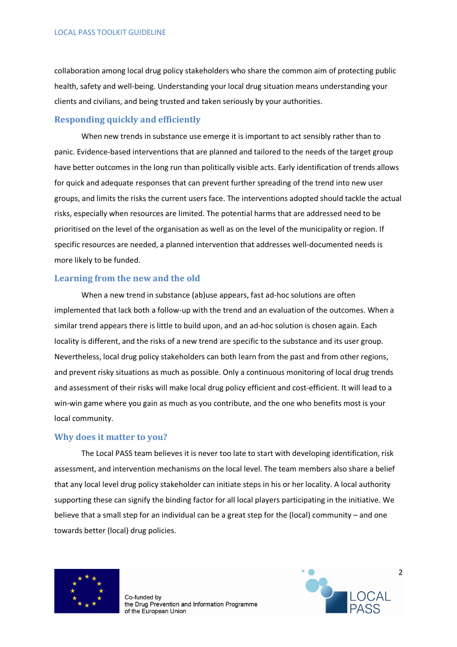collaboration among local drug policy stakeholders who share the common aim of protecting public health, safety and well-being. Understanding your local drug situation means understanding your clients and civilians, and being trusted and taken seriously by your authorities.

#### Responding quickly and efficiently

When new trends in substance use emerge it is important to act sensibly rather than to panic. Evidence-based interventions that are planned and tailored to the needs of the target group have better outcomes in the long run than politically visible acts. Early identification of trends allows for quick and adequate responses that can prevent further spreading of the trend into new user groups, and limits the risks the current users face. The interventions adopted should tackle the actual risks, especially when resources are limited. The potential harms that are addressed need to be prioritised on the level of the organisation as well as on the level of the municipality or region. If specific resources are needed, a planned intervention that addresses well-documented needs is more likely to be funded.

#### Learning from the new and the old

When a new trend in substance (ab)use appears, fast ad-hoc solutions are often implemented that lack both a follow-up with the trend and an evaluation of the outcomes. When a similar trend appears there is little to build upon, and an ad-hoc solution is chosen again. Each locality is different, and the risks of a new trend are specific to the substance and its user group. Nevertheless, local drug policy stakeholders can both learn from the past and from other regions, and prevent risky situations as much as possible. Only a continuous monitoring of local drug trends and assessment of their risks will make local drug policy efficient and cost-efficient. It will lead to a win-win game where you gain as much as you contribute, and the one who benefits most is your local community.

#### Why does it matter to you?

The Local PASS team believes it is never too late to start with developing identification, risk assessment, and intervention mechanisms on the local level. The team members also share a belief that any local level drug policy stakeholder can initiate steps in his or her locality. A local authority supporting these can signify the binding factor for all local players participating in the initiative. We believe that a small step for an individual can be a great step for the (local) community – and one towards better (local) drug policies.



Co-funded by the Drug Prevention and Information Programme of the European Union

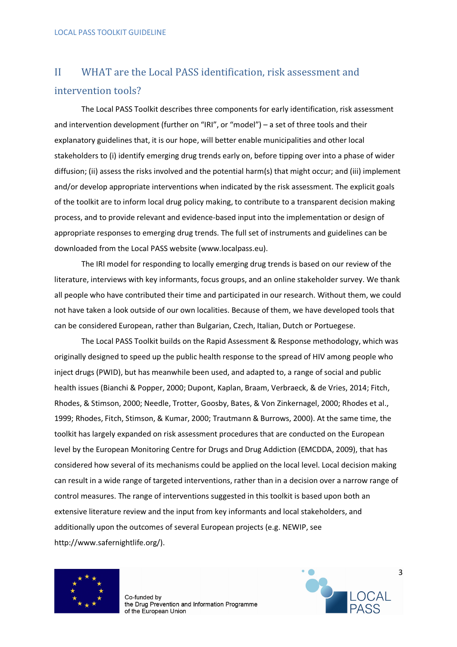# II WHAT are the Local PASS identification, risk assessment and intervention tools?

The Local PASS Toolkit describes three components for early identification, risk assessment and intervention development (further on "IRI", or "model") – a set of three tools and their explanatory guidelines that, it is our hope, will better enable municipalities and other local stakeholders to (i) identify emerging drug trends early on, before tipping over into a phase of wider diffusion; (ii) assess the risks involved and the potential harm(s) that might occur; and (iii) implement and/or develop appropriate interventions when indicated by the risk assessment. The explicit goals of the toolkit are to inform local drug policy making, to contribute to a transparent decision making process, and to provide relevant and evidence-based input into the implementation or design of appropriate responses to emerging drug trends. The full set of instruments and guidelines can be downloaded from the Local PASS website (www.localpass.eu).

The IRI model for responding to locally emerging drug trends is based on our review of the literature, interviews with key informants, focus groups, and an online stakeholder survey. We thank all people who have contributed their time and participated in our research. Without them, we could not have taken a look outside of our own localities. Because of them, we have developed tools that can be considered European, rather than Bulgarian, Czech, Italian, Dutch or Portuegese.

The Local PASS Toolkit builds on the Rapid Assessment & Response methodology, which was originally designed to speed up the public health response to the spread of HIV among people who inject drugs (PWID), but has meanwhile been used, and adapted to, a range of social and public health issues (Bianchi & Popper, 2000; Dupont, Kaplan, Braam, Verbraeck, & de Vries, 2014; Fitch, Rhodes, & Stimson, 2000; Needle, Trotter, Goosby, Bates, & Von Zinkernagel, 2000; Rhodes et al., 1999; Rhodes, Fitch, Stimson, & Kumar, 2000; Trautmann & Burrows, 2000). At the same time, the toolkit has largely expanded on risk assessment procedures that are conducted on the European level by the European Monitoring Centre for Drugs and Drug Addiction (EMCDDA, 2009), that has considered how several of its mechanisms could be applied on the local level. Local decision making can result in a wide range of targeted interventions, rather than in a decision over a narrow range of control measures. The range of interventions suggested in this toolkit is based upon both an extensive literature review and the input from key informants and local stakeholders, and additionally upon the outcomes of several European projects (e.g. NEWIP, see http://www.safernightlife.org/).



Co-funded by the Drug Prevention and Information Programme of the European Union

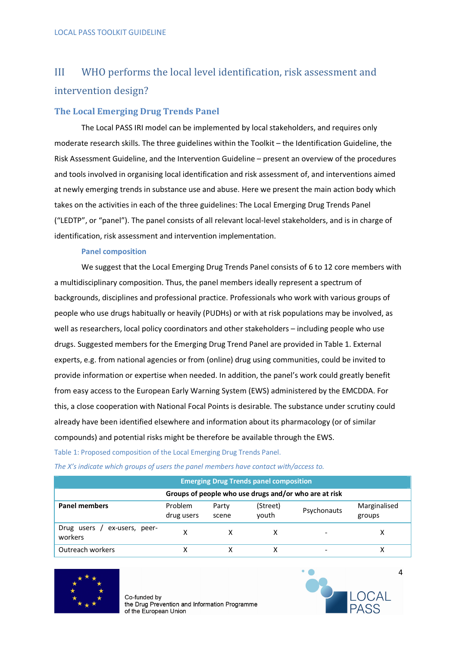# III WHO performs the local level identification, risk assessment and intervention design?

### The Local Emerging Drug Trends Panel

The Local PASS IRI model can be implemented by local stakeholders, and requires only moderate research skills. The three guidelines within the Toolkit – the Identification Guideline, the Risk Assessment Guideline, and the Intervention Guideline – present an overview of the procedures and tools involved in organising local identification and risk assessment of, and interventions aimed at newly emerging trends in substance use and abuse. Here we present the main action body which takes on the activities in each of the three guidelines: The Local Emerging Drug Trends Panel ("LEDTP", or "panel"). The panel consists of all relevant local-level stakeholders, and is in charge of identification, risk assessment and intervention implementation.

#### Panel composition

We suggest that the Local Emerging Drug Trends Panel consists of 6 to 12 core members with a multidisciplinary composition. Thus, the panel members ideally represent a spectrum of backgrounds, disciplines and professional practice. Professionals who work with various groups of people who use drugs habitually or heavily (PUDHs) or with at risk populations may be involved, as well as researchers, local policy coordinators and other stakeholders – including people who use drugs. Suggested members for the Emerging Drug Trend Panel are provided in Table 1. External experts, e.g. from national agencies or from (online) drug using communities, could be invited to provide information or expertise when needed. In addition, the panel's work could greatly benefit from easy access to the European Early Warning System (EWS) administered by the EMCDDA. For this, a close cooperation with National Focal Points is desirable. The substance under scrutiny could already have been identified elsewhere and information about its pharmacology (or of similar compounds) and potential risks might be therefore be available through the EWS.

Table 1: Proposed composition of the Local Emerging Drug Trends Panel.

|  |  | The X's indicate which groups of users the panel members have contact with/access to. |
|--|--|---------------------------------------------------------------------------------------|
|--|--|---------------------------------------------------------------------------------------|

| <b>Emerging Drug Trends panel composition</b>         |                       |                |                   |             |                        |  |  |  |
|-------------------------------------------------------|-----------------------|----------------|-------------------|-------------|------------------------|--|--|--|
| Groups of people who use drugs and/or who are at risk |                       |                |                   |             |                        |  |  |  |
| <b>Panel members</b>                                  | Problem<br>drug users | Party<br>scene | (Street)<br>vouth | Psychonauts | Marginalised<br>groups |  |  |  |
| Drug users / ex-users, peer-<br>workers               | x                     |                |                   |             |                        |  |  |  |
| Outreach workers                                      |                       |                |                   |             |                        |  |  |  |



Co-funded by the Drug Prevention and Information Programme of the European Union



4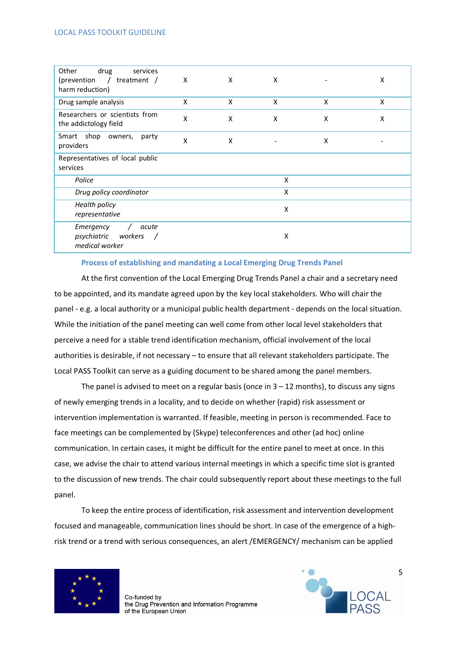| Other<br>drug<br>services<br>(prevention<br>$\sqrt{2}$<br>treatment $/$<br>harm reduction) | X | X | X |   | X |
|--------------------------------------------------------------------------------------------|---|---|---|---|---|
| Drug sample analysis                                                                       | X | X | X | X | X |
| Researchers or scientists from<br>the addictology field                                    | X | X | X | X | X |
| Smart shop owners,<br>party<br>providers                                                   | X | X |   | X |   |
| Representatives of local public<br>services                                                |   |   |   |   |   |
| Police                                                                                     |   |   | X |   |   |
| Drug policy coordinator                                                                    |   |   | X |   |   |
| <b>Health policy</b><br>representative                                                     |   |   | Χ |   |   |
| Emergency<br>acute<br>psychiatric<br>workers<br>medical worker                             |   |   | Χ |   |   |

#### Process of establishing and mandating a Local Emerging Drug Trends Panel

At the first convention of the Local Emerging Drug Trends Panel a chair and a secretary need to be appointed, and its mandate agreed upon by the key local stakeholders. Who will chair the panel - e.g. a local authority or a municipal public health department - depends on the local situation. While the initiation of the panel meeting can well come from other local level stakeholders that perceive a need for a stable trend identification mechanism, official involvement of the local authorities is desirable, if not necessary – to ensure that all relevant stakeholders participate. The Local PASS Toolkit can serve as a guiding document to be shared among the panel members.

The panel is advised to meet on a regular basis (once in  $3 - 12$  months), to discuss any signs of newly emerging trends in a locality, and to decide on whether (rapid) risk assessment or intervention implementation is warranted. If feasible, meeting in person is recommended. Face to face meetings can be complemented by (Skype) teleconferences and other (ad hoc) online communication. In certain cases, it might be difficult for the entire panel to meet at once. In this case, we advise the chair to attend various internal meetings in which a specific time slot is granted to the discussion of new trends. The chair could subsequently report about these meetings to the full panel.

To keep the entire process of identification, risk assessment and intervention development focused and manageable, communication lines should be short. In case of the emergence of a highrisk trend or a trend with serious consequences, an alert /EMERGENCY/ mechanism can be applied



Co-funded by the Drug Prevention and Information Programme of the European Union



5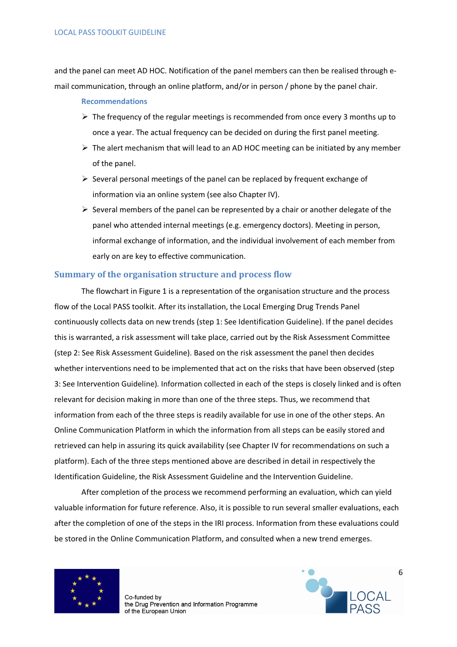and the panel can meet AD HOC. Notification of the panel members can then be realised through email communication, through an online platform, and/or in person / phone by the panel chair.

#### Recommendations

- $\triangleright$  The frequency of the regular meetings is recommended from once every 3 months up to once a year. The actual frequency can be decided on during the first panel meeting.
- $\triangleright$  The alert mechanism that will lead to an AD HOC meeting can be initiated by any member of the panel.
- $\triangleright$  Several personal meetings of the panel can be replaced by frequent exchange of information via an online system (see also Chapter IV).
- $\triangleright$  Several members of the panel can be represented by a chair or another delegate of the panel who attended internal meetings (e.g. emergency doctors). Meeting in person, informal exchange of information, and the individual involvement of each member from early on are key to effective communication.

### Summary of the organisation structure and process flow

The flowchart in Figure 1 is a representation of the organisation structure and the process flow of the Local PASS toolkit. After its installation, the Local Emerging Drug Trends Panel continuously collects data on new trends (step 1: See Identification Guideline). If the panel decides this is warranted, a risk assessment will take place, carried out by the Risk Assessment Committee (step 2: See Risk Assessment Guideline). Based on the risk assessment the panel then decides whether interventions need to be implemented that act on the risks that have been observed (step 3: See Intervention Guideline). Information collected in each of the steps is closely linked and is often relevant for decision making in more than one of the three steps. Thus, we recommend that information from each of the three steps is readily available for use in one of the other steps. An Online Communication Platform in which the information from all steps can be easily stored and retrieved can help in assuring its quick availability (see Chapter IV for recommendations on such a platform). Each of the three steps mentioned above are described in detail in respectively the Identification Guideline, the Risk Assessment Guideline and the Intervention Guideline.

After completion of the process we recommend performing an evaluation, which can yield valuable information for future reference. Also, it is possible to run several smaller evaluations, each after the completion of one of the steps in the IRI process. Information from these evaluations could be stored in the Online Communication Platform, and consulted when a new trend emerges.



Co-funded by the Drug Prevention and Information Programme of the European Union

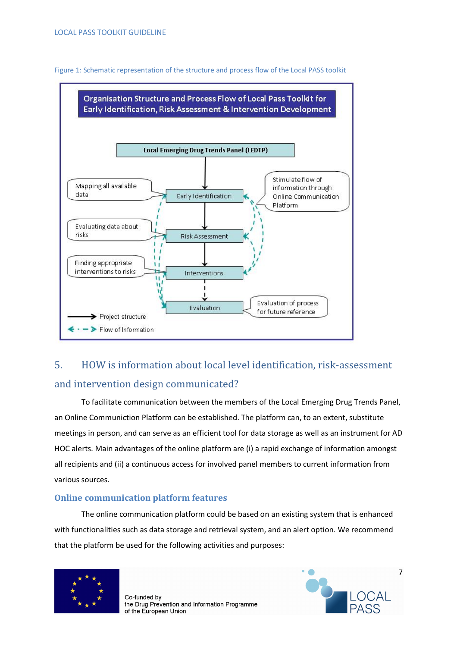

Figure 1: Schematic representation of the structure and process flow of the Local PASS toolkit

# 5. HOW is information about local level identification, risk-assessment and intervention design communicated?

To facilitate communication between the members of the Local Emerging Drug Trends Panel, an Online Communiction Platform can be established. The platform can, to an extent, substitute meetings in person, and can serve as an efficient tool for data storage as well as an instrument for AD HOC alerts. Main advantages of the online platform are (i) a rapid exchange of information amongst all recipients and (ii) a continuous access for involved panel members to current information from various sources.

# Online communication platform features

The online communication platform could be based on an existing system that is enhanced with functionalities such as data storage and retrieval system, and an alert option. We recommend that the platform be used for the following activities and purposes:



Co-funded by the Drug Prevention and Information Programme of the European Union

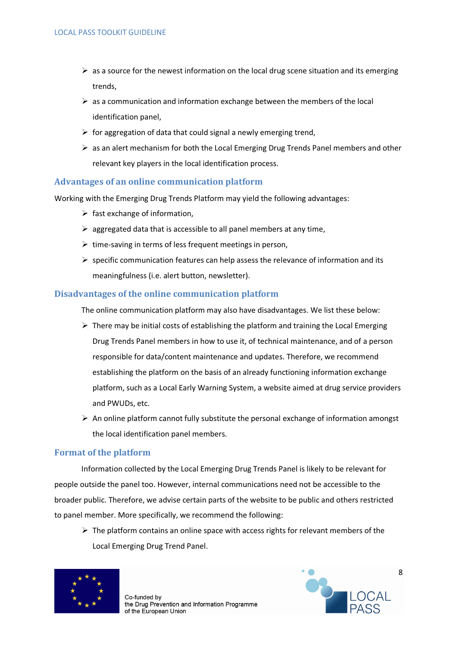- $\triangleright$  as a source for the newest information on the local drug scene situation and its emerging trends,
- $\triangleright$  as a communication and information exchange between the members of the local identification panel,
- $\triangleright$  for aggregation of data that could signal a newly emerging trend,
- $\triangleright$  as an alert mechanism for both the Local Emerging Drug Trends Panel members and other relevant key players in the local identification process.

### Advantages of an online communication platform

Working with the Emerging Drug Trends Platform may yield the following advantages:

- $\triangleright$  fast exchange of information,
- $\triangleright$  aggregated data that is accessible to all panel members at any time,
- $\triangleright$  time-saving in terms of less frequent meetings in person,
- $\triangleright$  specific communication features can help assess the relevance of information and its meaningfulness (i.e. alert button, newsletter).

#### Disadvantages of the online communication platform

The online communication platform may also have disadvantages. We list these below:

- $\triangleright$  There may be initial costs of establishing the platform and training the Local Emerging Drug Trends Panel members in how to use it, of technical maintenance, and of a person responsible for data/content maintenance and updates. Therefore, we recommend establishing the platform on the basis of an already functioning information exchange platform, such as a Local Early Warning System, a website aimed at drug service providers and PWUDs, etc.
- $\triangleright$  An online platform cannot fully substitute the personal exchange of information amongst the local identification panel members.

#### Format of the platform

Information collected by the Local Emerging Drug Trends Panel is likely to be relevant for people outside the panel too. However, internal communications need not be accessible to the broader public. Therefore, we advise certain parts of the website to be public and others restricted to panel member. More specifically, we recommend the following:

 $\triangleright$  The platform contains an online space with access rights for relevant members of the Local Emerging Drug Trend Panel.